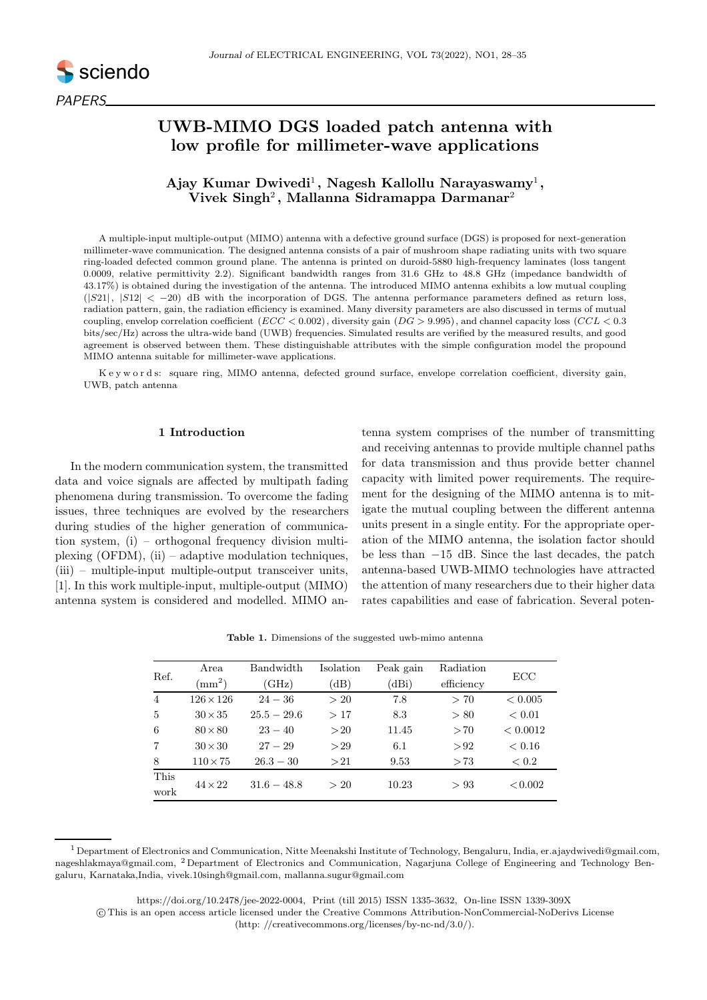

# UWB-MIMO DGS loaded patch antenna with low profile for millimeter-wave applications

## Ajay Kumar Dwivedi<sup>1</sup>, Nagesh Kallollu Narayaswamy<sup>1</sup>, Vivek  $\mathbf{Singh}^2,$  Mallanna Sidramappa Darmanar $^2$

A multiple-input multiple-output (MIMO) antenna with a defective ground surface (DGS) is proposed for next-generation millimeter-wave communication. The designed antenna consists of a pair of mushroom shape radiating units with two square ring-loaded defected common ground plane. The antenna is printed on duroid-5880 high-frequency laminates (loss tangent 0.0009, relative permittivity 2.2). Significant bandwidth ranges from 31.6 GHz to 48.8 GHz (impedance bandwidth of 43.17%) is obtained during the investigation of the antenna. The introduced MIMO antenna exhibits a low mutual coupling  $(|S21|, |S12| < -20$  dB with the incorporation of DGS. The antenna performance parameters defined as return loss, radiation pattern, gain, the radiation efficiency is examined. Many diversity parameters are also discussed in terms of mutual coupling, envelop correlation coefficient  $(ECC < 0.002)$ , diversity gain  $(DG > 9.995)$ , and channel capacity loss  $(CCL < 0.3$ bits/sec/Hz) across the ultra-wide band (UWB) frequencies. Simulated results are verified by the measured results, and good agreement is observed between them. These distinguishable attributes with the simple configuration model the propound MIMO antenna suitable for millimeter-wave applications.

K e y w o r d s: square ring, MIMO antenna, defected ground surface, envelope correlation coefficient, diversity gain, UWB, patch antenna

### 1 Introduction

In the modern communication system, the transmitted data and voice signals are affected by multipath fading phenomena during transmission. To overcome the fading issues, three techniques are evolved by the researchers during studies of the higher generation of communication system, (i) – orthogonal frequency division multiplexing (OFDM),  $(ii)$  – adaptive modulation techniques, (iii) – multiple-input multiple-output transceiver units, [1]. In this work multiple-input, multiple-output (MIMO) antenna system is considered and modelled. MIMO antenna system comprises of the number of transmitting and receiving antennas to provide multiple channel paths for data transmission and thus provide better channel capacity with limited power requirements. The requirement for the designing of the MIMO antenna is to mitigate the mutual coupling between the different antenna units present in a single entity. For the appropriate operation of the MIMO antenna, the isolation factor should be less than −15 dB. Since the last decades, the patch antenna-based UWB-MIMO technologies have attracted the attention of many researchers due to their higher data rates capabilities and ease of fabrication. Several poten-

| Ref.           | Area<br>$\rm (mm^2)$ | Bandwidth<br>(GHz) | Isolation<br>(dB) | Peak gain<br>(dBi) | Radiation<br>efficiency | ECC         |
|----------------|----------------------|--------------------|-------------------|--------------------|-------------------------|-------------|
| $\overline{4}$ | $126 \times 126$     | $24 - 36$          | >20               | 7.8                | > 70                    | ${}< 0.005$ |
| 5              | $30 \times 35$       | $25.5 - 29.6$      | >17               | 8.3                | > 80                    | ${}< 0.01$  |
| 6              | $80 \times 80$       | $23 - 40$          | >20               | 11.45              | >70                     | < 0.0012    |
| 7              | $30 \times 30$       | $27 - 29$          | >29               | 6.1                | > 92                    | ${}< 0.16$  |
| 8              | $110\times75$        | $26.3 - 30$        | >21               | 9.53               | >73                     | < 0.2       |
| This<br>work   | $44 \times 22$       | $31.6 - 48.8$      | >20               | 10.23              | >93                     | < 0.002     |

Table 1. Dimensions of the suggested uwb-mimo antenna

<sup>&</sup>lt;sup>1</sup> Department of Electronics and Communication, Nitte Meenakshi Institute of Technology, Bengaluru, India, er.ajaydwivedi@gmail.com, nageshlakmaya@gmail.com, <sup>2</sup> Department of Electronics and Communication, Nagarjuna College of Engineering and Technology Bengaluru, Karnataka,India, vivek.10singh@gmail.com, mallanna.sugur@gmail.com

https://doi.org/10.2478/jee-2022-0004, Print (till 2015) ISSN 1335-3632, On-line ISSN 1339-309X

c This is an open access article licensed under the Creative Commons Attribution-NonCommercial-NoDerivs License (http: //creativecommons.org/licenses/by-nc-nd/3.0/).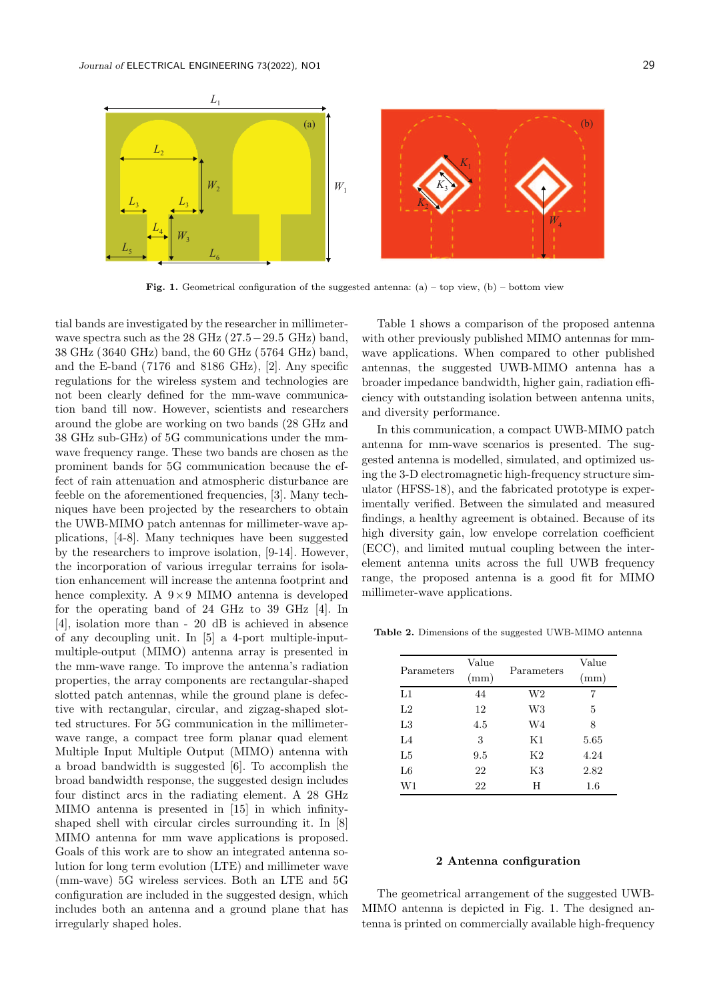$L<sub>2</sub>$ 

 $L_3$   $L_3$ 

*L*4

*W*3

 $L_5$   $L_6$ 

*L* 

 $\overline{W}$ <sub>2</sub>



 $K_2$ 

**Fig. 1.** Geometrical configuration of the suggested antenna: (a) – top view, (b) – bottom view

*W*1

tial bands are investigated by the researcher in millimeterwave spectra such as the 28 GHz  $(27.5-29.5 \text{ GHz})$  band, 38 GHz (3640 GHz) band, the 60 GHz (5764 GHz) band, and the E-band (7176 and 8186 GHz), [2]. Any specific regulations for the wireless system and technologies are not been clearly defined for the mm-wave communication band till now. However, scientists and researchers around the globe are working on two bands (28 GHz and 38 GHz sub-GHz) of 5G communications under the mmwave frequency range. These two bands are chosen as the prominent bands for 5G communication because the effect of rain attenuation and atmospheric disturbance are feeble on the aforementioned frequencies, [3]. Many techniques have been projected by the researchers to obtain the UWB-MIMO patch antennas for millimeter-wave applications, [4-8]. Many techniques have been suggested by the researchers to improve isolation, [9-14]. However, the incorporation of various irregular terrains for isolation enhancement will increase the antenna footprint and hence complexity. A  $9 \times 9$  MIMO antenna is developed for the operating band of 24 GHz to 39 GHz [4]. In [4], isolation more than - 20 dB is achieved in absence of any decoupling unit. In [5] a 4-port multiple-inputmultiple-output (MIMO) antenna array is presented in the mm-wave range. To improve the antenna's radiation properties, the array components are rectangular-shaped slotted patch antennas, while the ground plane is defective with rectangular, circular, and zigzag-shaped slotted structures. For 5G communication in the millimeterwave range, a compact tree form planar quad element Multiple Input Multiple Output (MIMO) antenna with a broad bandwidth is suggested [6]. To accomplish the broad bandwidth response, the suggested design includes four distinct arcs in the radiating element. A 28 GHz MIMO antenna is presented in [15] in which infinityshaped shell with circular circles surrounding it. In [8] MIMO antenna for mm wave applications is proposed. Goals of this work are to show an integrated antenna solution for long term evolution (LTE) and millimeter wave (mm-wave) 5G wireless services. Both an LTE and 5G configuration are included in the suggested design, which includes both an antenna and a ground plane that has irregularly shaped holes.

Table 1 shows a comparison of the proposed antenna with other previously published MIMO antennas for mmwave applications. When compared to other published antennas, the suggested UWB-MIMO antenna has a broader impedance bandwidth, higher gain, radiation efficiency with outstanding isolation between antenna units, and diversity performance.

*W*4

In this communication, a compact UWB-MIMO patch antenna for mm-wave scenarios is presented. The suggested antenna is modelled, simulated, and optimized using the 3-D electromagnetic high-frequency structure simulator (HFSS-18), and the fabricated prototype is experimentally verified. Between the simulated and measured findings, a healthy agreement is obtained. Because of its high diversity gain, low envelope correlation coefficient (ECC), and limited mutual coupling between the interelement antenna units across the full UWB frequency range, the proposed antenna is a good fit for MIMO millimeter-wave applications.

Table 2. Dimensions of the suggested UWB-MIMO antenna

|             | Value |                | Value   |
|-------------|-------|----------------|---------|
| Parameters  | (mm)  | Parameters     | (mm)    |
| $_{\rm L1}$ | 44    | W <sub>2</sub> | 7       |
| L2          | 12    | W <sub>3</sub> | 5       |
| L3          | 4.5   | W <sub>4</sub> | 8       |
| $L_4$       | 3     | Κ1             | 5.65    |
| L5          | 9.5   | K2             | 4.24    |
| L6          | 22    | K3             | 2.82    |
| W1          | 22    | H              | $1.6\,$ |

### 2 Antenna configuration

The geometrical arrangement of the suggested UWB-MIMO antenna is depicted in Fig. 1. The designed antenna is printed on commercially available high-frequency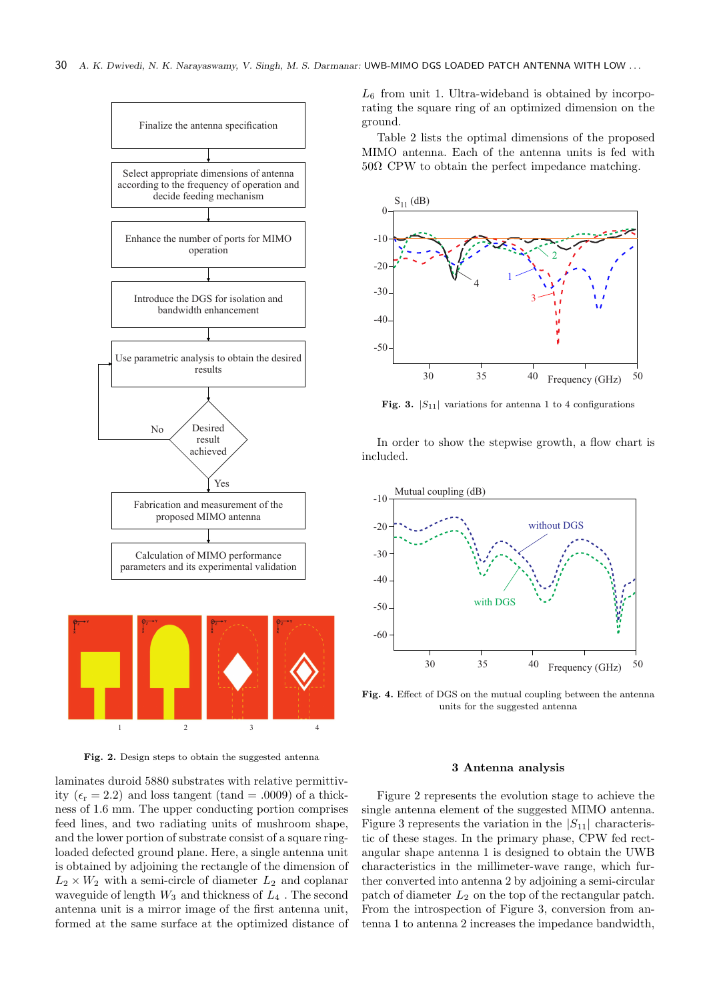



Fig. 2. Design steps to obtain the suggested antenna

laminates duroid 5880 substrates with relative permittivity ( $\epsilon_r = 2.2$ ) and loss tangent (tand = .0009) of a thickness of 1.6 mm. The upper conducting portion comprises feed lines, and two radiating units of mushroom shape, and the lower portion of substrate consist of a square ringloaded defected ground plane. Here, a single antenna unit is obtained by adjoining the rectangle of the dimension of  $L_2 \times W_2$  with a semi-circle of diameter  $L_2$  and coplanar waveguide of length  $W_3$  and thickness of  $L_4$ . The second antenna unit is a mirror image of the first antenna unit, formed at the same surface at the optimized distance of  $L_6$  from unit 1. Ultra-wideband is obtained by incorporating the square ring of an optimized dimension on the ground.

Table 2 lists the optimal dimensions of the proposed MIMO antenna. Each of the antenna units is fed with  $50\Omega$  CPW to obtain the perfect impedance matching.



Fig. 3.  $|S_{11}|$  variations for antenna 1 to 4 configurations

In order to show the stepwise growth, a flow chart is included.



Fig. 4. Effect of DGS on the mutual coupling between the antenna units for the suggested antenna

### 3 Antenna analysis

Figure 2 represents the evolution stage to achieve the single antenna element of the suggested MIMO antenna. Figure 3 represents the variation in the  $|S_{11}|$  characteristic of these stages. In the primary phase, CPW fed rectangular shape antenna 1 is designed to obtain the UWB characteristics in the millimeter-wave range, which further converted into antenna 2 by adjoining a semi-circular patch of diameter  $L_2$  on the top of the rectangular patch. From the introspection of Figure 3, conversion from antenna 1 to antenna 2 increases the impedance bandwidth,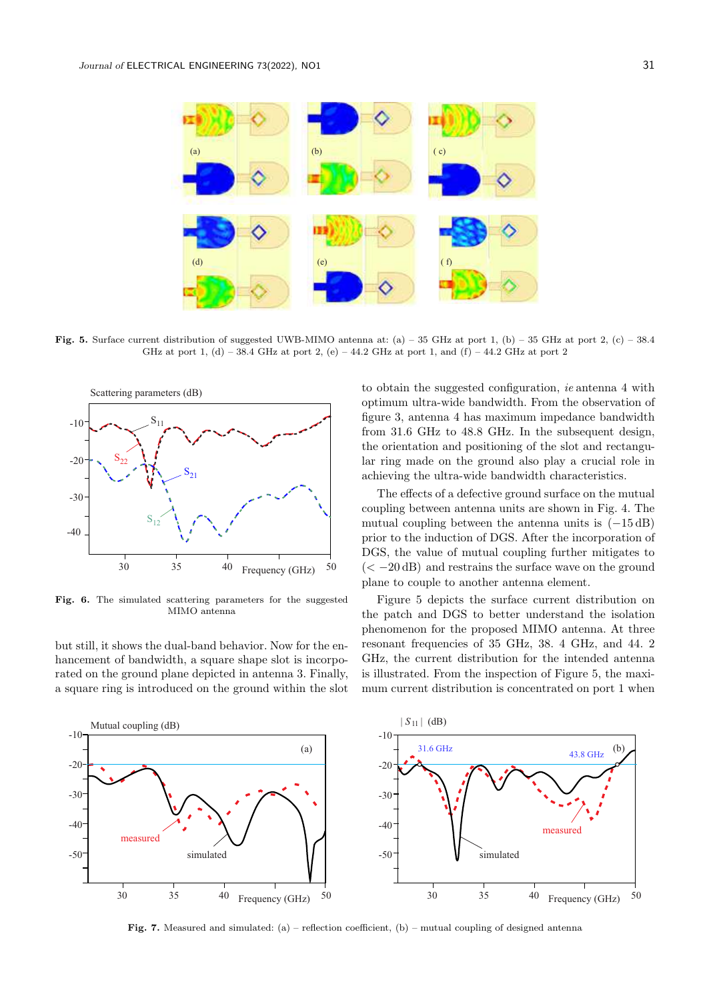

Fig. 5. Surface current distribution of suggested UWB-MIMO antenna at: (a) – 35 GHz at port 1, (b) – 35 GHz at port 2, (c) – 38.4 GHz at port 1, (d) – 38.4 GHz at port 2, (e) – 44.2 GHz at port 1, and (f) – 44.2 GHz at port 2



Fig. 6. The simulated scattering parameters for the suggested MIMO antenna

but still, it shows the dual-band behavior. Now for the enhancement of bandwidth, a square shape slot is incorporated on the ground plane depicted in antenna 3. Finally, a square ring is introduced on the ground within the slot to obtain the suggested configuration, ie antenna 4 with optimum ultra-wide bandwidth. From the observation of figure 3, antenna 4 has maximum impedance bandwidth from 31.6 GHz to 48.8 GHz. In the subsequent design, the orientation and positioning of the slot and rectangular ring made on the ground also play a crucial role in achieving the ultra-wide bandwidth characteristics.

The effects of a defective ground surface on the mutual coupling between antenna units are shown in Fig. 4. The mutual coupling between the antenna units is  $(-15 dB)$ prior to the induction of DGS. After the incorporation of DGS, the value of mutual coupling further mitigates to  $(< -20$  dB) and restrains the surface wave on the ground plane to couple to another antenna element.

Figure 5 depicts the surface current distribution on the patch and DGS to better understand the isolation phenomenon for the proposed MIMO antenna. At three resonant frequencies of 35 GHz, 38. 4 GHz, and 44. 2 GHz, the current distribution for the intended antenna is illustrated. From the inspection of Figure 5, the maximum current distribution is concentrated on port 1 when



Fig. 7. Measured and simulated: (a) – reflection coefficient, (b) – mutual coupling of designed antenna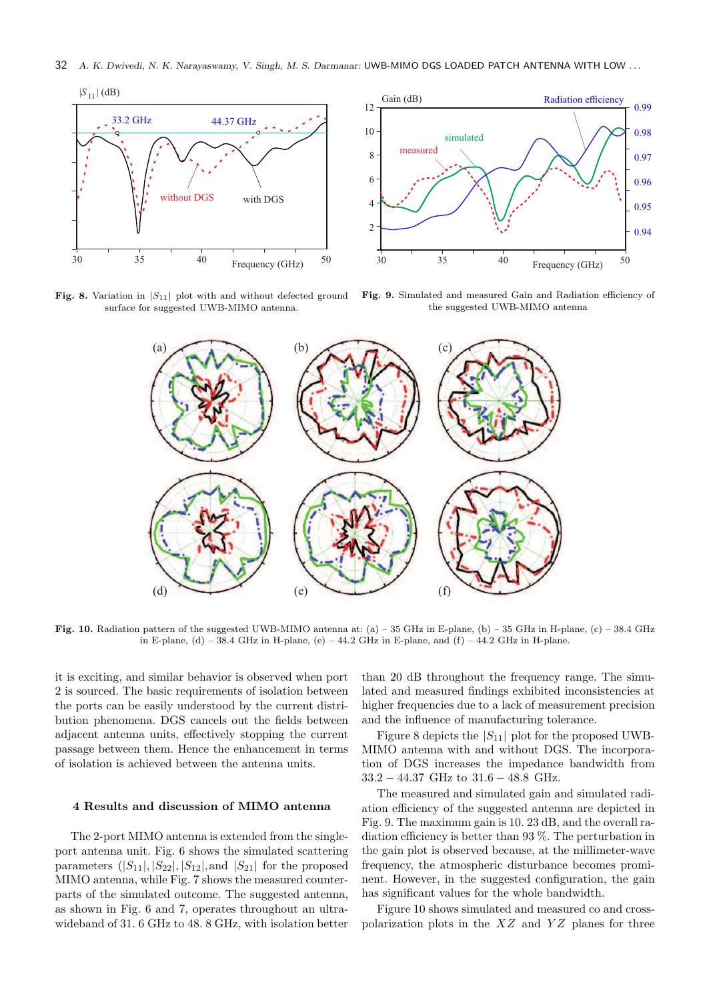32 *A. K. Dwivedi, N. K. Narayaswamy, V. Singh, M. S. Darmanar:* UWB-MIMO DGS LOADED PATCH ANTENNA WITH LOW . . .



Fig. 8. Variation in  $|S_{11}|$  plot with and without defected ground surface for suggested UWB-MIMO antenna.



Fig. 9. Simulated and measured Gain and Radiation efficiency of the suggested UWB-MIMO antenna



Fig. 10. Radiation pattern of the suggested UWB-MIMO antenna at: (a) – 35 GHz in E-plane, (b) – 35 GHz in H-plane, (c) – 38.4 GHz in E-plane, (d) – 38.4 GHz in H-plane, (e) – 44.2 GHz in E-plane, and (f) – 44.2 GHz in H-plane.

it is exciting, and similar behavior is observed when port 2 is sourced. The basic requirements of isolation between the ports can be easily understood by the current distribution phenomena. DGS cancels out the fields between adjacent antenna units, effectively stopping the current passage between them. Hence the enhancement in terms of isolation is achieved between the antenna units.

### 4 Results and discussion of MIMO antenna

The 2-port MIMO antenna is extended from the singleport antenna unit. Fig. 6 shows the simulated scattering parameters  $(|S_{11}|, |S_{22}|, |S_{12}|, \text{and } |S_{21}|$  for the proposed MIMO antenna, while Fig. 7 shows the measured counterparts of the simulated outcome. The suggested antenna, as shown in Fig. 6 and 7, operates throughout an ultrawideband of 31. 6 GHz to 48. 8 GHz, with isolation better than 20 dB throughout the frequency range. The simulated and measured findings exhibited inconsistencies at higher frequencies due to a lack of measurement precision and the influence of manufacturing tolerance.

Figure 8 depicts the  $|S_{11}|$  plot for the proposed UWB-MIMO antenna with and without DGS. The incorporation of DGS increases the impedance bandwidth from 33.2 − 44.37 GHz to 31.6 − 48.8 GHz.

The measured and simulated gain and simulated radiation efficiency of the suggested antenna are depicted in Fig. 9. The maximum gain is 10. 23 dB, and the overall radiation efficiency is better than 93 %. The perturbation in the gain plot is observed because, at the millimeter-wave frequency, the atmospheric disturbance becomes prominent. However, in the suggested configuration, the gain has significant values for the whole bandwidth.

Figure 10 shows simulated and measured co and crosspolarization plots in the  $XZ$  and  $YZ$  planes for three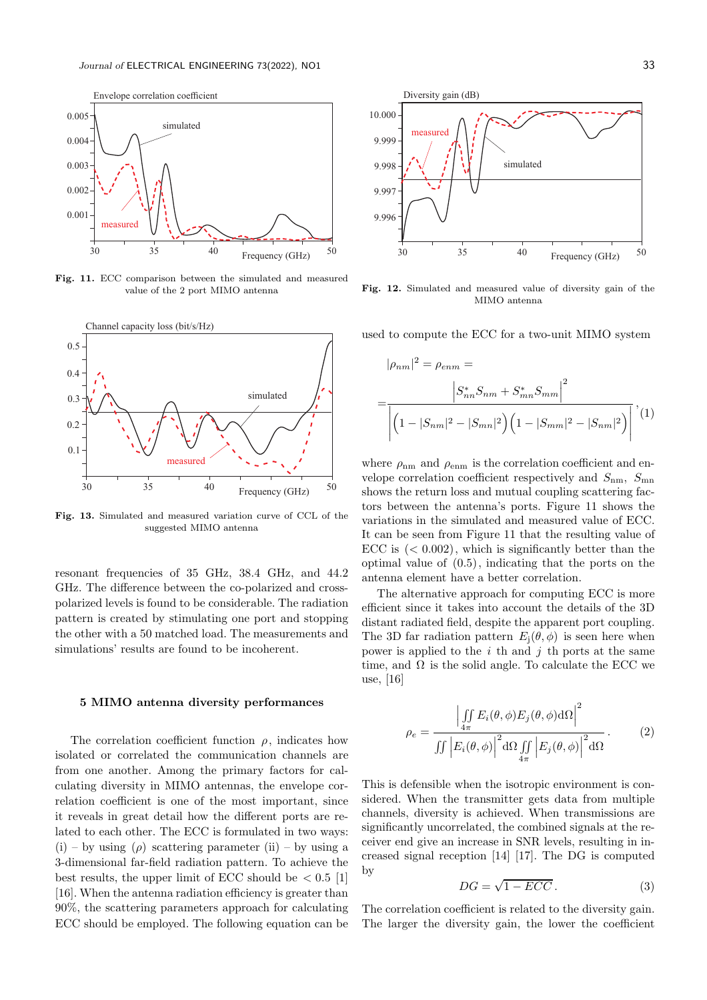

Fig. 11. ECC comparison between the simulated and measured value of the 2 port MIMO antenna



Fig. 13. Simulated and measured variation curve of CCL of the suggested MIMO antenna

resonant frequencies of 35 GHz, 38.4 GHz, and 44.2 GHz. The difference between the co-polarized and crosspolarized levels is found to be considerable. The radiation pattern is created by stimulating one port and stopping the other with a 50 matched load. The measurements and simulations' results are found to be incoherent.

### 5 MIMO antenna diversity performances

The correlation coefficient function  $\rho$ , indicates how isolated or correlated the communication channels are from one another. Among the primary factors for calculating diversity in MIMO antennas, the envelope correlation coefficient is one of the most important, since it reveals in great detail how the different ports are related to each other. The ECC is formulated in two ways:  $(i)$  – by using  $(\rho)$  scattering parameter  $(ii)$  – by using a 3-dimensional far-field radiation pattern. To achieve the best results, the upper limit of ECC should be  $\langle 0.5 \rangle$  [1] [16]. When the antenna radiation efficiency is greater than 90%, the scattering parameters approach for calculating ECC should be employed. The following equation can be



Fig. 12. Simulated and measured value of diversity gain of the MIMO antenna

used to compute the ECC for a two-unit MIMO system

$$
|\rho_{nm}|^2 = \rho_{enm} =
$$
  
= 
$$
\frac{|S_{nn}^* S_{nm} + S_{mn}^* S_{mm}|^2}{\left| \left( 1 - |S_{nm}|^2 - |S_{mn}|^2 \right) \left( 1 - |S_{mm}|^2 - |S_{nm}|^2 \right) \right|}, (1)
$$

where  $\rho_{nm}$  and  $\rho_{enm}$  is the correlation coefficient and envelope correlation coefficient respectively and  $S_{nm}$ ,  $S_{mn}$ shows the return loss and mutual coupling scattering factors between the antenna's ports. Figure 11 shows the variations in the simulated and measured value of ECC. It can be seen from Figure 11 that the resulting value of ECC is  $( $0.002$ ), which is significantly better than the$ optimal value of (0.5), indicating that the ports on the antenna element have a better correlation.

The alternative approach for computing ECC is more efficient since it takes into account the details of the 3D distant radiated field, despite the apparent port coupling. The 3D far radiation pattern  $E_i(\theta, \phi)$  is seen here when power is applied to the  $i$  th and  $j$  th ports at the same time, and  $\Omega$  is the solid angle. To calculate the ECC we use, [16]

$$
\rho_e = \frac{\left| \iint\limits_{4\pi} E_i(\theta, \phi) E_j(\theta, \phi) d\Omega \right|^2}{\iint \left| E_i(\theta, \phi) \right|^2 d\Omega \iint\limits_{4\pi} \left| E_j(\theta, \phi) \right|^2 d\Omega}.
$$
 (2)

This is defensible when the isotropic environment is considered. When the transmitter gets data from multiple channels, diversity is achieved. When transmissions are significantly uncorrelated, the combined signals at the receiver end give an increase in SNR levels, resulting in increased signal reception [14] [17]. The DG is computed by

$$
DG = \sqrt{1 - ECC}.
$$
 (3)

The correlation coefficient is related to the diversity gain. The larger the diversity gain, the lower the coefficient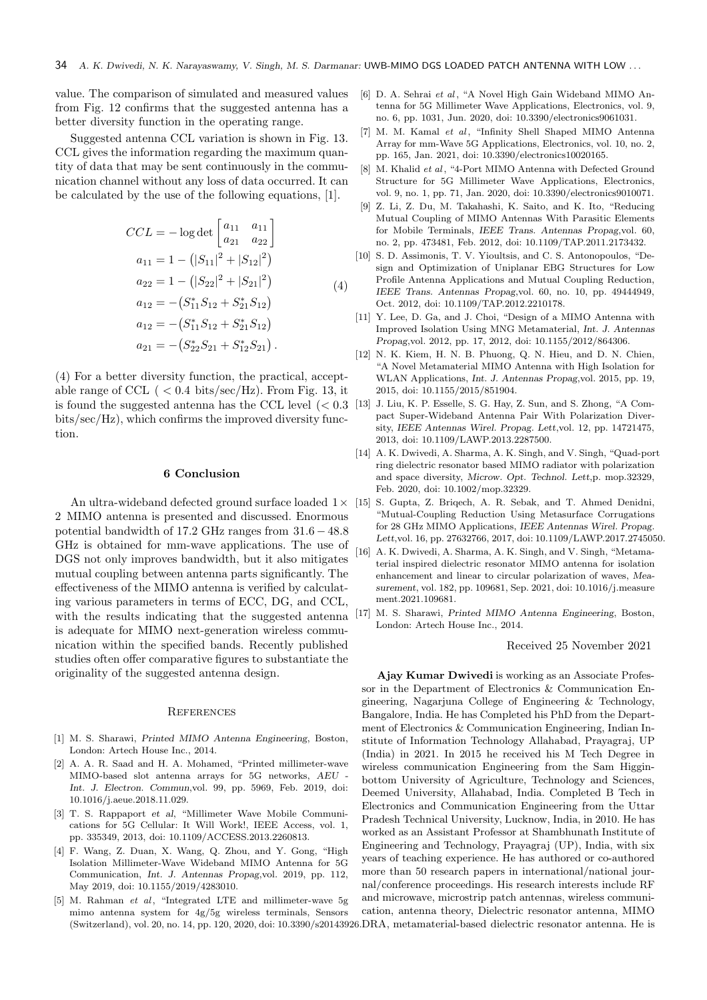value. The comparison of simulated and measured values from Fig. 12 confirms that the suggested antenna has a better diversity function in the operating range.

Suggested antenna CCL variation is shown in Fig. 13. CCL gives the information regarding the maximum quantity of data that may be sent continuously in the communication channel without any loss of data occurred. It can be calculated by the use of the following equations, [1].

$$
CCL = -\log \det \begin{bmatrix} a_{11} & a_{11} \\ a_{21} & a_{22} \end{bmatrix}
$$
  
\n
$$
a_{11} = 1 - (|S_{11}|^2 + |S_{12}|^2)
$$
  
\n
$$
a_{22} = 1 - (|S_{22}|^2 + |S_{21}|^2)
$$
  
\n
$$
a_{12} = -(S_{11}^* S_{12} + S_{21}^* S_{12})
$$
  
\n
$$
a_{12} = -(S_{11}^* S_{12} + S_{21}^* S_{12})
$$
  
\n
$$
a_{21} = -(S_{22}^* S_{21} + S_{12}^* S_{21}).
$$

(4) For a better diversity function, the practical, acceptable range of CCL ( $\langle 0.4 \text{ bits/sec/Hz} \rangle$ ). From Fig. 13, it is found the suggested antenna has the CCL level  $\langle < 0.3 \rangle$ bits/sec/Hz), which confirms the improved diversity function.

### 6 Conclusion

An ultra-wideband defected ground surface loaded  $1 \times 15$ 2 MIMO antenna is presented and discussed. Enormous potential bandwidth of 17.2 GHz ranges from 31.6 − 48.8 GHz is obtained for mm-wave applications. The use of DGS not only improves bandwidth, but it also mitigates mutual coupling between antenna parts significantly. The effectiveness of the MIMO antenna is verified by calculating various parameters in terms of ECC, DG, and CCL, with the results indicating that the suggested antenna is adequate for MIMO next-generation wireless communication within the specified bands. Recently published studies often offer comparative figures to substantiate the originality of the suggested antenna design.

### **REFERENCES**

- [1] M. S. Sharawi, *Printed MIMO Antenna Engineering*, Boston, London: Artech House Inc., 2014.
- [2] A. A. R. Saad and H. A. Mohamed, "Printed millimeter-wave MIMO-based slot antenna arrays for 5G networks, *AEU - Int. J. Electron. Commun*,vol. 99, pp. 5969, Feb. 2019, doi: 10.1016/j.aeue.2018.11.029.
- [3] T. S. Rappaport *et al*, "Millimeter Wave Mobile Communications for 5G Cellular: It Will Work!, IEEE Access, vol. 1, pp. 335349, 2013, doi: 10.1109/ACCESS.2013.2260813.
- [4] F. Wang, Z. Duan, X. Wang, Q. Zhou, and Y. Gong, "High Isolation Millimeter-Wave Wideband MIMO Antenna for 5G Communication, *Int. J. Antennas Propag*,vol. 2019, pp. 112, May 2019, doi: 10.1155/2019/4283010.
- [5] M. Rahman et al, "Integrated LTE and millimeter-wave  $5g$ mimo antenna system for 4g/5g wireless terminals, Sensors (Switzerland), vol. 20, no. 14, pp. 120, 2020, doi: 10.3390/s20143926. DRA, metamaterial-based dielectric resonator antenna. He is
- [6] D. A. Sehrai et al, "A Novel High Gain Wideband MIMO Antenna for 5G Millimeter Wave Applications, Electronics, vol. 9, no. 6, pp. 1031, Jun. 2020, doi: 10.3390/electronics9061031.
- [7] M. M. Kamal et al, "Infinity Shell Shaped MIMO Antenna Array for mm-Wave 5G Applications, Electronics, vol. 10, no. 2, pp. 165, Jan. 2021, doi: 10.3390/electronics10020165.
- [8] M. Khalid et al, "4-Port MIMO Antenna with Defected Ground Structure for 5G Millimeter Wave Applications, Electronics, vol. 9, no. 1, pp. 71, Jan. 2020, doi: 10.3390/electronics9010071.
- [9] Z. Li, Z. Du, M. Takahashi, K. Saito, and K. Ito, "Reducing Mutual Coupling of MIMO Antennas With Parasitic Elements for Mobile Terminals, *IEEE Trans. Antennas Propag*,vol. 60, no. 2, pp. 473481, Feb. 2012, doi: 10.1109/TAP.2011.2173432.
- [10] S. D. Assimonis, T. V. Yioultsis, and C. S. Antonopoulos, "Design and Optimization of Uniplanar EBG Structures for Low Profile Antenna Applications and Mutual Coupling Reduction, *IEEE Trans. Antennas Propag*,vol. 60, no. 10, pp. 49444949, Oct. 2012, doi: 10.1109/TAP.2012.2210178.
- [11] Y. Lee, D. Ga, and J. Choi, "Design of a MIMO Antenna with Improved Isolation Using MNG Metamaterial, *Int. J. Antennas Propag*,vol. 2012, pp. 17, 2012, doi: 10.1155/2012/864306.
- [12] N. K. Kiem, H. N. B. Phuong, Q. N. Hieu, and D. N. Chien, "A Novel Metamaterial MIMO Antenna with High Isolation for WLAN Applications, *Int. J. Antennas Propag*,vol. 2015, pp. 19, 2015, doi: 10.1155/2015/851904.
- [13] J. Liu, K. P. Esselle, S. G. Hay, Z. Sun, and S. Zhong, "A Compact Super-Wideband Antenna Pair With Polarization Diversity, *IEEE Antennas Wirel. Propag. Lett*,vol. 12, pp. 14721475, 2013, doi: 10.1109/LAWP.2013.2287500.
- [14] A. K. Dwivedi, A. Sharma, A. K. Singh, and V. Singh, "Quad-port ring dielectric resonator based MIMO radiator with polarization and space diversity, *Microw. Opt. Technol. Lett*,p. mop.32329, Feb. 2020, doi: 10.1002/mop.32329.
- [15] S. Gupta, Z. Briqech, A. R. Sebak, and T. Ahmed Denidni, "Mutual-Coupling Reduction Using Metasurface Corrugations for 28 GHz MIMO Applications, *IEEE Antennas Wirel. Propag. Lett*,vol. 16, pp. 27632766, 2017, doi: 10.1109/LAWP.2017.2745050.
- [16] A. K. Dwivedi, A. Sharma, A. K. Singh, and V. Singh, "Metamaterial inspired dielectric resonator MIMO antenna for isolation enhancement and linear to circular polarization of waves, *Measurement*, vol. 182, pp. 109681, Sep. 2021, doi: 10.1016/j.measure ment.2021.109681.
- [17] M. S. Sharawi, *Printed MIMO Antenna Engineering*, Boston, London: Artech House Inc., 2014.

### Received 25 November 2021

Ajay Kumar Dwivedi is working as an Associate Professor in the Department of Electronics & Communication Engineering, Nagarjuna College of Engineering & Technology, Bangalore, India. He has Completed his PhD from the Department of Electronics & Communication Engineering, Indian Institute of Information Technology Allahabad, Prayagraj, UP (India) in 2021. In 2015 he received his M Tech Degree in wireless communication Engineering from the Sam Higginbottom University of Agriculture, Technology and Sciences, Deemed University, Allahabad, India. Completed B Tech in Electronics and Communication Engineering from the Uttar Pradesh Technical University, Lucknow, India, in 2010. He has worked as an Assistant Professor at Shambhunath Institute of Engineering and Technology, Prayagraj (UP), India, with six years of teaching experience. He has authored or co-authored more than 50 research papers in international/national journal/conference proceedings. His research interests include RF and microwave, microstrip patch antennas, wireless communication, antenna theory, Dielectric resonator antenna, MIMO